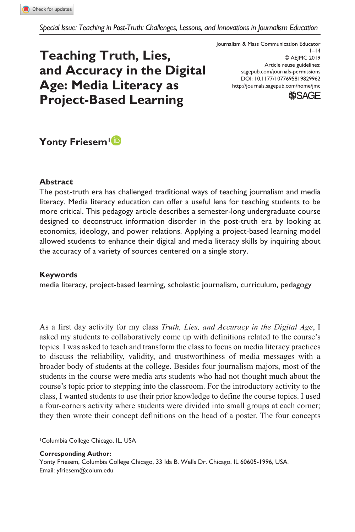*Special Issue: Teaching in Post-Truth: Challenges, Lessons, and Innovations in Journalism Education*

# **Teaching Truth, Lies, and Accuracy in the Digital Age: Media Literacy as Project-Based Learning**

DOI: 10.1177/1077695819829962 Journalism & Mass Communication Educator  $1 - 14$ © AEJMC 2019 Article reuse guidelines: [sagepub.com/journals-permissions](https://us.sagepub.com/en-us/journals-permissions) <http://journals.sagepub.com/home/jmc>



# Yonty Friesem<sup>1</sup><sup>D</sup>

#### **Abstract**

The post-truth era has challenged traditional ways of teaching journalism and media literacy. Media literacy education can offer a useful lens for teaching students to be more critical. This pedagogy article describes a semester-long undergraduate course designed to deconstruct information disorder in the post-truth era by looking at economics, ideology, and power relations. Applying a project-based learning model allowed students to enhance their digital and media literacy skills by inquiring about the accuracy of a variety of sources centered on a single story.

#### **Keywords**

media literacy, project-based learning, scholastic journalism, curriculum, pedagogy

As a first day activity for my class *Truth, Lies, and Accuracy in the Digital Age*, I asked my students to collaboratively come up with definitions related to the course's topics. I was asked to teach and transform the class to focus on media literacy practices to discuss the reliability, validity, and trustworthiness of media messages with a broader body of students at the college. Besides four journalism majors, most of the students in the course were media arts students who had not thought much about the course's topic prior to stepping into the classroom. For the introductory activity to the class, I wanted students to use their prior knowledge to define the course topics. I used a four-corners activity where students were divided into small groups at each corner; they then wrote their concept definitions on the head of a poster. The four concepts

1Columbia College Chicago, IL, USA

**Corresponding Author:** Yonty Friesem, Columbia College Chicago, 33 Ida B. Wells Dr. Chicago, IL 60605-1996, USA. Email: yfriesem@colum.edu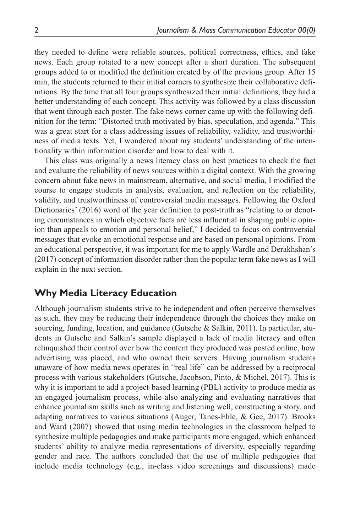they needed to define were reliable sources, political correctness, ethics, and fake news. Each group rotated to a new concept after a short duration. The subsequent groups added to or modified the definition created by of the previous group. After 15 min, the students returned to their initial corners to synthesize their collaborative definitions. By the time that all four groups synthesized their initial definitions, they had a better understanding of each concept. This activity was followed by a class discussion that went through each poster. The fake news corner came up with the following definition for the term: "Distorted truth motivated by bias, speculation, and agenda." This was a great start for a class addressing issues of reliability, validity, and trustworthiness of media texts. Yet, I wondered about my students' understanding of the intentionality within information disorder and how to deal with it.

This class was originally a news literacy class on best practices to check the fact and evaluate the reliability of news sources within a digital context. With the growing concern about fake news in mainstream, alternative, and social media, I modified the course to engage students in analysis, evaluation, and reflection on the reliability, validity, and trustworthiness of controversial media messages. Following the Oxford Dictionaries' (2016) word of the year definition to post-truth as "relating to or denoting circumstances in which objective facts are less influential in shaping public opinion than appeals to emotion and personal belief," I decided to focus on controversial messages that evoke an emotional response and are based on personal opinions. From an educational perspective, it was important for me to apply Wardle and Derakhshan's (2017) concept of information disorder rather than the popular term fake news as I will explain in the next section.

# **Why Media Literacy Education**

Although journalism students strive to be independent and often perceive themselves as such, they may be reducing their independence through the choices they make on sourcing, funding, location, and guidance (Gutsche & Salkin, 2011). In particular, students in Gutsche and Salkin's sample displayed a lack of media literacy and often relinquished their control over how the content they produced was posted online, how advertising was placed, and who owned their servers. Having journalism students unaware of how media news operates in "real life" can be addressed by a reciprocal process with various stakeholders (Gutsche, Jacobson, Pinto, & Michel, 2017). This is why it is important to add a project-based learning (PBL) activity to produce media as an engaged journalism process, while also analyzing and evaluating narratives that enhance journalism skills such as writing and listening well, constructing a story, and adapting narratives to various situations (Auger, Tanes-Ehle, & Gee, 2017). Brooks and Ward (2007) showed that using media technologies in the classroom helped to synthesize multiple pedagogies and make participants more engaged, which enhanced students' ability to analyze media representations of diversity, especially regarding gender and race. The authors concluded that the use of multiple pedagogies that include media technology (e.g., in-class video screenings and discussions) made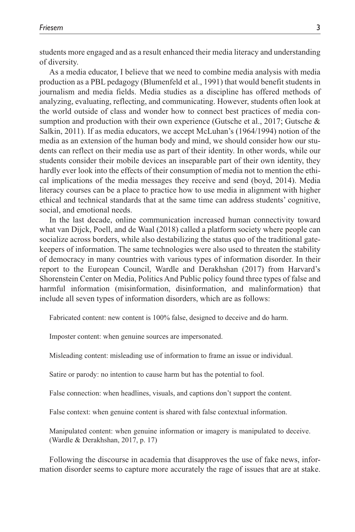students more engaged and as a result enhanced their media literacy and understanding of diversity.

As a media educator, I believe that we need to combine media analysis with media production as a PBL pedagogy (Blumenfeld et al., 1991) that would benefit students in journalism and media fields. Media studies as a discipline has offered methods of analyzing, evaluating, reflecting, and communicating. However, students often look at the world outside of class and wonder how to connect best practices of media consumption and production with their own experience (Gutsche et al., 2017; Gutsche & Salkin, 2011). If as media educators, we accept McLuhan's (1964/1994) notion of the media as an extension of the human body and mind, we should consider how our students can reflect on their media use as part of their identity. In other words, while our students consider their mobile devices an inseparable part of their own identity, they hardly ever look into the effects of their consumption of media not to mention the ethical implications of the media messages they receive and send (boyd, 2014). Media literacy courses can be a place to practice how to use media in alignment with higher ethical and technical standards that at the same time can address students' cognitive, social, and emotional needs.

In the last decade, online communication increased human connectivity toward what van Dijck, Poell, and de Waal (2018) called a platform society where people can socialize across borders, while also destabilizing the status quo of the traditional gatekeepers of information. The same technologies were also used to threaten the stability of democracy in many countries with various types of information disorder. In their report to the European Council, Wardle and Derakhshan (2017) from Harvard's Shorenstein Center on Media, Politics And Public policy found three types of false and harmful information (misinformation, disinformation, and malinformation) that include all seven types of information disorders, which are as follows:

Fabricated content: new content is 100% false, designed to deceive and do harm.

Imposter content: when genuine sources are impersonated.

Misleading content: misleading use of information to frame an issue or individual.

Satire or parody: no intention to cause harm but has the potential to fool.

False connection: when headlines, visuals, and captions don't support the content.

False context: when genuine content is shared with false contextual information.

Manipulated content: when genuine information or imagery is manipulated to deceive. (Wardle & Derakhshan, 2017, p. 17)

Following the discourse in academia that disapproves the use of fake news, information disorder seems to capture more accurately the rage of issues that are at stake.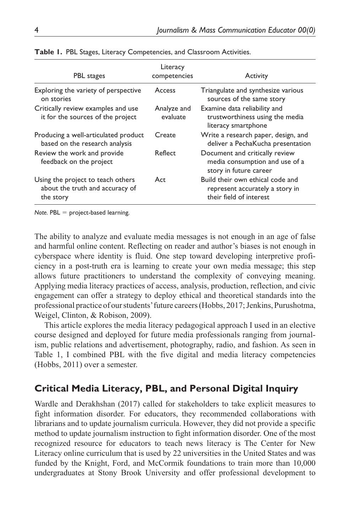| PBL stages                                                                        | Literacy<br>competencies | <b>Activity</b>                                                                                |
|-----------------------------------------------------------------------------------|--------------------------|------------------------------------------------------------------------------------------------|
| Exploring the variety of perspective<br>on stories                                | Access                   | Triangulate and synthesize various<br>sources of the same story                                |
| Critically review examples and use<br>it for the sources of the project           | Analyze and<br>evaluate  | Examine data reliability and<br>trustworthiness using the media<br>literacy smartphone         |
| Producing a well-articulated product<br>based on the research analysis            | Create                   | Write a research paper, design, and<br>deliver a PechaKucha presentation                       |
| Review the work and provide<br>feedback on the project                            | Reflect                  | Document and critically review<br>media consumption and use of a<br>story in future career     |
| Using the project to teach others<br>about the truth and accuracy of<br>the story | Act                      | Build their own ethical code and<br>represent accurately a story in<br>their field of interest |

**Table 1.** PBL Stages, Literacy Competencies, and Classroom Activities.

*Note.* PBL = project-based learning.

The ability to analyze and evaluate media messages is not enough in an age of false and harmful online content. Reflecting on reader and author's biases is not enough in cyberspace where identity is fluid. One step toward developing interpretive proficiency in a post-truth era is learning to create your own media message; this step allows future practitioners to understand the complexity of conveying meaning. Applying media literacy practices of access, analysis, production, reflection, and civic engagement can offer a strategy to deploy ethical and theoretical standards into the professional practice of our students' future careers (Hobbs, 2017; Jenkins, Purushotma, Weigel, Clinton, & Robison, 2009).

This article explores the media literacy pedagogical approach I used in an elective course designed and deployed for future media professionals ranging from journalism, public relations and advertisement, photography, radio, and fashion. As seen in Table 1, I combined PBL with the five digital and media literacy competencies (Hobbs, 2011) over a semester.

# **Critical Media Literacy, PBL, and Personal Digital Inquiry**

Wardle and Derakhshan (2017) called for stakeholders to take explicit measures to fight information disorder. For educators, they recommended collaborations with librarians and to update journalism curricula. However, they did not provide a specific method to update journalism instruction to fight information disorder. One of the most recognized resource for educators to teach news literacy is The Center for New Literacy online curriculum that is used by 22 universities in the United States and was funded by the Knight, Ford, and McCormik foundations to train more than 10,000 undergraduates at Stony Brook University and offer professional development to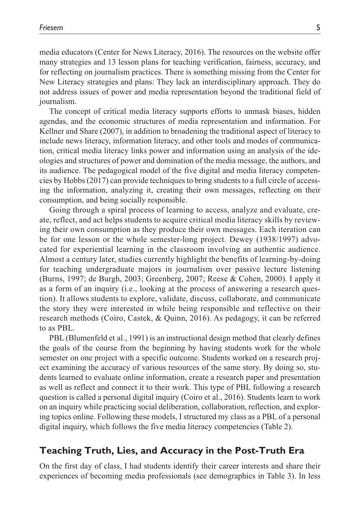media educators (Center for News Literacy, 2016). The resources on the website offer many strategies and 13 lesson plans for teaching verification, fairness, accuracy, and for reflecting on journalism practices. There is something missing from the Center for New Literacy strategies and plans: They lack an interdisciplinary approach. They do not address issues of power and media representation beyond the traditional field of journalism.

The concept of critical media literacy supports efforts to unmask biases, hidden agendas, and the economic structures of media representation and information. For Kellner and Share (2007), in addition to broadening the traditional aspect of literacy to include news literacy, information literacy, and other tools and modes of communication, critical media literacy links power and information using an analysis of the ideologies and structures of power and domination of the media message, the authors, and its audience. The pedagogical model of the five digital and media literacy competencies by Hobbs (2017) can provide techniques to bring students to a full circle of accessing the information, analyzing it, creating their own messages, reflecting on their consumption, and being socially responsible.

Going through a spiral process of learning to access, analyze and evaluate, create, reflect, and act helps students to acquire critical media literacy skills by reviewing their own consumption as they produce their own messages. Each iteration can be for one lesson or the whole semester-long project. Dewey (1938/1997) advocated for experiential learning in the classroom involving an authentic audience. Almost a century later, studies currently highlight the benefits of learning-by-doing for teaching undergraduate majors in journalism over passive lecture listening (Burns, 1997; de Burgh, 2003; Greenberg, 2007; Reese & Cohen, 2000). I apply it as a form of an inquiry (i.e., looking at the process of answering a research question). It allows students to explore, validate, discuss, collaborate, and communicate the story they were interested in while being responsible and reflective on their research methods (Coiro, Castek, & Quinn, 2016). As pedagogy, it can be referred to as PBL.

PBL (Blumenfeld et al., 1991) is an instructional design method that clearly defines the goals of the course from the beginning by having students work for the whole semester on one project with a specific outcome. Students worked on a research project examining the accuracy of various resources of the same story. By doing so, students learned to evaluate online information, create a research paper and presentation as well as reflect and connect it to their work. This type of PBL following a research question is called a personal digital inquiry (Coiro et al., 2016). Students learn to work on an inquiry while practicing social deliberation, collaboration, reflection, and exploring topics online. Following these models, I structured my class as a PBL of a personal digital inquiry, which follows the five media literacy competencies (Table 2).

# **Teaching Truth, Lies, and Accuracy in the Post-Truth Era**

On the first day of class, I had students identify their career interests and share their experiences of becoming media professionals (see demographics in Table 3). In less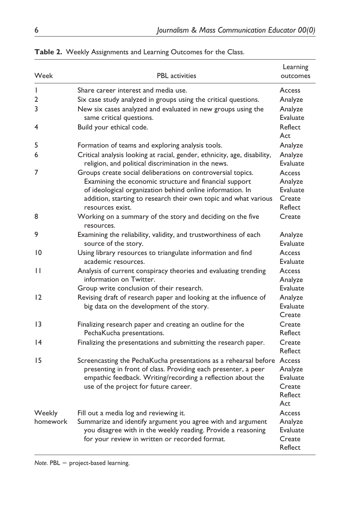| Week               | <b>PBL</b> activities                                                                                                                                                                                                                                                     | Learning<br>outcomes                                      |
|--------------------|---------------------------------------------------------------------------------------------------------------------------------------------------------------------------------------------------------------------------------------------------------------------------|-----------------------------------------------------------|
| $\mathbf{I}$       | Share career interest and media use.                                                                                                                                                                                                                                      | Access                                                    |
| 2                  | Six case study analyzed in groups using the critical questions.                                                                                                                                                                                                           | Analyze                                                   |
| 3                  | New six cases analyzed and evaluated in new groups using the<br>same critical questions.                                                                                                                                                                                  | Analyze<br>Evaluate                                       |
| 4                  | Build your ethical code.                                                                                                                                                                                                                                                  | Reflect<br>Act                                            |
| 5                  | Formation of teams and exploring analysis tools.                                                                                                                                                                                                                          | Analyze                                                   |
| 6                  | Critical analysis looking at racial, gender, ethnicity, age, disability,<br>religion, and political discrimination in the news.                                                                                                                                           | Analyze<br><b>Evaluate</b>                                |
| 7                  | Groups create social deliberations on controversial topics.<br>Examining the economic structure and financial support<br>of ideological organization behind online information. In<br>addition, starting to research their own topic and what various<br>resources exist. | Access<br>Analyze<br><b>Evaluate</b><br>Create<br>Reflect |
| 8                  | Working on a summary of the story and deciding on the five<br>resources.                                                                                                                                                                                                  | Create                                                    |
| 9                  | Examining the reliability, validity, and trustworthiness of each<br>source of the story.                                                                                                                                                                                  | Analyze<br><b>Evaluate</b>                                |
| 10                 | Using library resources to triangulate information and find<br>academic resources.                                                                                                                                                                                        | Access<br><b>Evaluate</b>                                 |
| П                  | Analysis of current conspiracy theories and evaluating trending<br>information on Twitter.<br>Group write conclusion of their research.                                                                                                                                   | Access<br>Analyze<br>Evaluate                             |
| 12                 | Revising draft of research paper and looking at the influence of<br>big data on the development of the story.                                                                                                                                                             | Analyze<br><b>Evaluate</b><br>Create                      |
| $\overline{13}$    | Finalizing research paper and creating an outline for the<br>PechaKucha presentations.                                                                                                                                                                                    | Create<br>Reflect                                         |
| $\overline{14}$    | Finalizing the presentations and submitting the research paper.                                                                                                                                                                                                           | Create<br>Reflect                                         |
| 15                 | Screencasting the PechaKucha presentations as a rehearsal before Access<br>presenting in front of class. Providing each presenter, a peer<br>empathic feedback. Writing/recording a reflection about the<br>use of the project for future career.                         | Analyze<br>Evaluate<br>Create<br>Reflect<br>Act           |
| Weekly<br>homework | Fill out a media log and reviewing it.<br>Summarize and identify argument you agree with and argument<br>you disagree with in the weekly reading. Provide a reasoning<br>for your review in written or recorded format.                                                   | Access<br>Analyze<br>Evaluate<br>Create<br>Reflect        |

**Table 2.** Weekly Assignments and Learning Outcomes for the Class.

*Note.* PBL = project-based learning.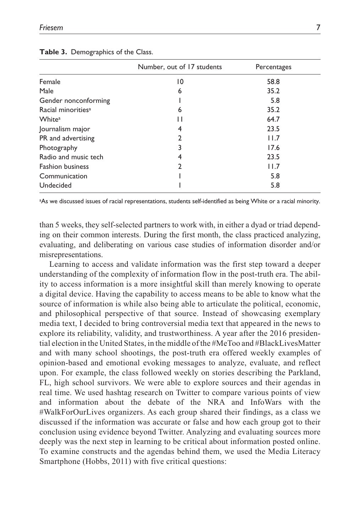|                                | Number, out of 17 students | Percentages |  |
|--------------------------------|----------------------------|-------------|--|
| Female                         | 10                         | 58.8        |  |
| Male                           | 6                          | 35.2        |  |
| Gender nonconforming           |                            | 5.8         |  |
| Racial minorities <sup>a</sup> | 6                          | 35.2        |  |
| White <sup>a</sup>             | $\mathsf{I}$               | 64.7        |  |
| Journalism major               | 4                          | 23.5        |  |
| PR and advertising             | 2                          | 11.7        |  |
| Photography                    |                            | 17.6        |  |
| Radio and music tech           | 4                          | 23.5        |  |
| <b>Fashion business</b>        |                            | 11.7        |  |
| Communication                  |                            | 5.8         |  |
| Undecided                      |                            | 5.8         |  |

#### **Table 3.** Demographics of the Class.

a As we discussed issues of racial representations, students self-identified as being White or a racial minority.

than 5 weeks, they self-selected partners to work with, in either a dyad or triad depending on their common interests. During the first month, the class practiced analyzing, evaluating, and deliberating on various case studies of information disorder and/or misrepresentations.

Learning to access and validate information was the first step toward a deeper understanding of the complexity of information flow in the post-truth era. The ability to access information is a more insightful skill than merely knowing to operate a digital device. Having the capability to access means to be able to know what the source of information is while also being able to articulate the political, economic, and philosophical perspective of that source. Instead of showcasing exemplary media text, I decided to bring controversial media text that appeared in the news to explore its reliability, validity, and trustworthiness. A year after the 2016 presidential election in the United States, in the middle of the #MeToo and #BlackLivesMatter and with many school shootings, the post-truth era offered weekly examples of opinion-based and emotional evoking messages to analyze, evaluate, and reflect upon. For example, the class followed weekly on stories describing the Parkland, FL, high school survivors. We were able to explore sources and their agendas in real time. We used hashtag research on Twitter to compare various points of view and information about the debate of the NRA and InfoWars with the #WalkForOurLives organizers. As each group shared their findings, as a class we discussed if the information was accurate or false and how each group got to their conclusion using evidence beyond Twitter. Analyzing and evaluating sources more deeply was the next step in learning to be critical about information posted online. To examine constructs and the agendas behind them, we used the Media Literacy Smartphone (Hobbs, 2011) with five critical questions: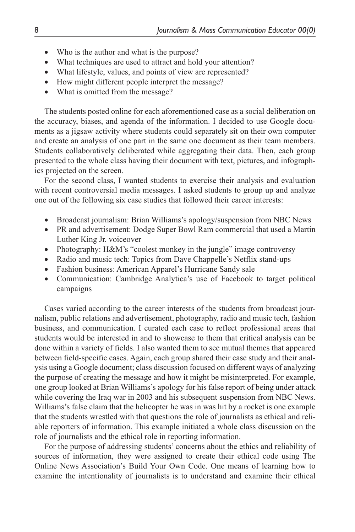- Who is the author and what is the purpose?
- What techniques are used to attract and hold your attention?
- What lifestyle, values, and points of view are represented?
- How might different people interpret the message?
- What is omitted from the message?

The students posted online for each aforementioned case as a social deliberation on the accuracy, biases, and agenda of the information. I decided to use Google documents as a jigsaw activity where students could separately sit on their own computer and create an analysis of one part in the same one document as their team members. Students collaboratively deliberated while aggregating their data. Then, each group presented to the whole class having their document with text, pictures, and infographics projected on the screen.

For the second class, I wanted students to exercise their analysis and evaluation with recent controversial media messages. I asked students to group up and analyze one out of the following six case studies that followed their career interests:

- Broadcast journalism: Brian Williams's apology/suspension from NBC News
- PR and advertisement: Dodge Super Bowl Ram commercial that used a Martin Luther King Jr. voiceover
- Photography: H&M's "coolest monkey in the jungle" image controversy
- Radio and music tech: Topics from Dave Chappelle's Netflix stand-ups
- Fashion business: American Apparel's Hurricane Sandy sale
- Communication: Cambridge Analytica's use of Facebook to target political campaigns

Cases varied according to the career interests of the students from broadcast journalism, public relations and advertisement, photography, radio and music tech, fashion business, and communication. I curated each case to reflect professional areas that students would be interested in and to showcase to them that critical analysis can be done within a variety of fields. I also wanted them to see mutual themes that appeared between field-specific cases. Again, each group shared their case study and their analysis using a Google document; class discussion focused on different ways of analyzing the purpose of creating the message and how it might be misinterpreted. For example, one group looked at Brian Williams's apology for his false report of being under attack while covering the Iraq war in 2003 and his subsequent suspension from NBC News. Williams's false claim that the helicopter he was in was hit by a rocket is one example that the students wrestled with that questions the role of journalists as ethical and reliable reporters of information. This example initiated a whole class discussion on the role of journalists and the ethical role in reporting information.

For the purpose of addressing students' concerns about the ethics and reliability of sources of information, they were assigned to create their ethical code using The Online News Association's Build Your Own Code. One means of learning how to examine the intentionality of journalists is to understand and examine their ethical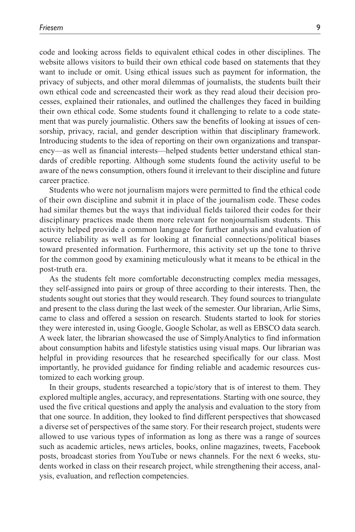code and looking across fields to equivalent ethical codes in other disciplines. The website allows visitors to build their own ethical code based on statements that they want to include or omit. Using ethical issues such as payment for information, the privacy of subjects, and other moral dilemmas of journalists, the students built their own ethical code and screencasted their work as they read aloud their decision processes, explained their rationales, and outlined the challenges they faced in building their own ethical code. Some students found it challenging to relate to a code statement that was purely journalistic. Others saw the benefits of looking at issues of censorship, privacy, racial, and gender description within that disciplinary framework. Introducing students to the idea of reporting on their own organizations and transparency—as well as financial interests—helped students better understand ethical standards of credible reporting. Although some students found the activity useful to be aware of the news consumption, others found it irrelevant to their discipline and future career practice.

Students who were not journalism majors were permitted to find the ethical code of their own discipline and submit it in place of the journalism code. These codes had similar themes but the ways that individual fields tailored their codes for their disciplinary practices made them more relevant for nonjournalism students. This activity helped provide a common language for further analysis and evaluation of source reliability as well as for looking at financial connections/political biases toward presented information. Furthermore, this activity set up the tone to thrive for the common good by examining meticulously what it means to be ethical in the post-truth era.

As the students felt more comfortable deconstructing complex media messages, they self-assigned into pairs or group of three according to their interests. Then, the students sought out stories that they would research. They found sources to triangulate and present to the class during the last week of the semester. Our librarian, Arlie Sims, came to class and offered a session on research. Students started to look for stories they were interested in, using Google, Google Scholar, as well as EBSCO data search. A week later, the librarian showcased the use of SimplyAnalytics to find information about consumption habits and lifestyle statistics using visual maps. Our librarian was helpful in providing resources that he researched specifically for our class. Most importantly, he provided guidance for finding reliable and academic resources customized to each working group.

In their groups, students researched a topic/story that is of interest to them. They explored multiple angles, accuracy, and representations. Starting with one source, they used the five critical questions and apply the analysis and evaluation to the story from that one source. In addition, they looked to find different perspectives that showcased a diverse set of perspectives of the same story. For their research project, students were allowed to use various types of information as long as there was a range of sources such as academic articles, news articles, books, online magazines, tweets, Facebook posts, broadcast stories from YouTube or news channels. For the next 6 weeks, students worked in class on their research project, while strengthening their access, analysis, evaluation, and reflection competencies.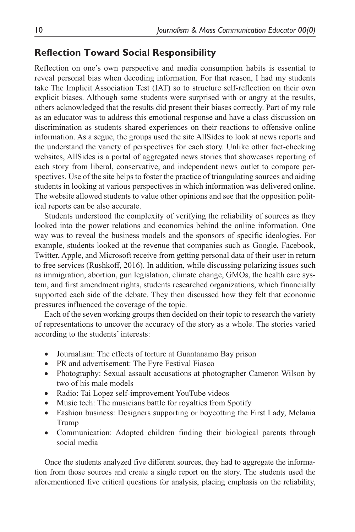# **Reflection Toward Social Responsibility**

Reflection on one's own perspective and media consumption habits is essential to reveal personal bias when decoding information. For that reason, I had my students take The Implicit Association Test (IAT) so to structure self-reflection on their own explicit biases. Although some students were surprised with or angry at the results, others acknowledged that the results did present their biases correctly. Part of my role as an educator was to address this emotional response and have a class discussion on discrimination as students shared experiences on their reactions to offensive online information. As a segue, the groups used the site AllSides to look at news reports and the understand the variety of perspectives for each story. Unlike other fact-checking websites, AllSides is a portal of aggregated news stories that showcases reporting of each story from liberal, conservative, and independent news outlet to compare perspectives. Use of the site helps to foster the practice of triangulating sources and aiding students in looking at various perspectives in which information was delivered online. The website allowed students to value other opinions and see that the opposition political reports can be also accurate.

Students understood the complexity of verifying the reliability of sources as they looked into the power relations and economics behind the online information. One way was to reveal the business models and the sponsors of specific ideologies. For example, students looked at the revenue that companies such as Google, Facebook, Twitter, Apple, and Microsoft receive from getting personal data of their user in return to free services (Rushkoff, 2016). In addition, while discussing polarizing issues such as immigration, abortion, gun legislation, climate change, GMOs, the health care system, and first amendment rights, students researched organizations, which financially supported each side of the debate. They then discussed how they felt that economic pressures influenced the coverage of the topic.

Each of the seven working groups then decided on their topic to research the variety of representations to uncover the accuracy of the story as a whole. The stories varied according to the students' interests:

- Journalism: The effects of torture at Guantanamo Bay prison
- PR and advertisement: The Fyre Festival Fiasco
- Photography: Sexual assault accusations at photographer Cameron Wilson by two of his male models
- Radio: Tai Lopez self-improvement YouTube videos
- Music tech: The musicians battle for royalties from Spotify
- Fashion business: Designers supporting or boycotting the First Lady, Melania Trump
- Communication: Adopted children finding their biological parents through social media

Once the students analyzed five different sources, they had to aggregate the information from those sources and create a single report on the story. The students used the aforementioned five critical questions for analysis, placing emphasis on the reliability,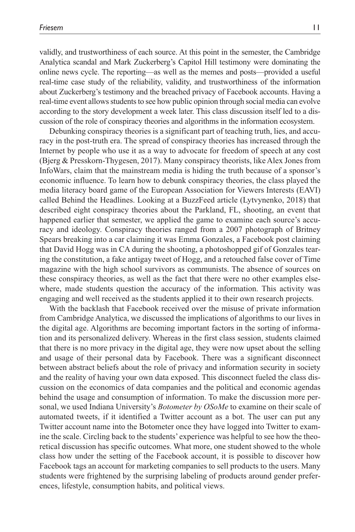validly, and trustworthiness of each source. At this point in the semester, the Cambridge Analytica scandal and Mark Zuckerberg's Capitol Hill testimony were dominating the online news cycle. The reporting—as well as the memes and posts—provided a useful real-time case study of the reliability, validity, and trustworthiness of the information about Zuckerberg's testimony and the breached privacy of Facebook accounts. Having a real-time event allows students to see how public opinion through social media can evolve according to the story development a week later. This class discussion itself led to a discussion of the role of conspiracy theories and algorithms in the information ecosystem.

Debunking conspiracy theories is a significant part of teaching truth, lies, and accuracy in the post-truth era. The spread of conspiracy theories has increased through the Internet by people who use it as a way to advocate for freedom of speech at any cost (Bjerg & Presskorn-Thygesen, 2017). Many conspiracy theorists, like Alex Jones from InfoWars, claim that the mainstream media is hiding the truth because of a sponsor's economic influence. To learn how to debunk conspiracy theories, the class played the media literacy board game of the European Association for Viewers Interests (EAVI) called Behind the Headlines. Looking at a BuzzFeed article (Lytvynenko, 2018) that described eight conspiracy theories about the Parkland, FL, shooting, an event that happened earlier that semester, we applied the game to examine each source's accuracy and ideology. Conspiracy theories ranged from a 2007 photograph of Britney Spears breaking into a car claiming it was Emma Gonzales, a Facebook post claiming that David Hogg was in CA during the shooting, a photoshopped gif of Gonzales tearing the constitution, a fake antigay tweet of Hogg, and a retouched false cover of Time magazine with the high school survivors as communists. The absence of sources on these conspiracy theories, as well as the fact that there were no other examples elsewhere, made students question the accuracy of the information. This activity was engaging and well received as the students applied it to their own research projects.

With the backlash that Facebook received over the misuse of private information from Cambridge Analytica, we discussed the implications of algorithms to our lives in the digital age. Algorithms are becoming important factors in the sorting of information and its personalized delivery. Whereas in the first class session, students claimed that there is no more privacy in the digital age, they were now upset about the selling and usage of their personal data by Facebook. There was a significant disconnect between abstract beliefs about the role of privacy and information security in society and the reality of having your own data exposed. This disconnect fueled the class discussion on the economics of data companies and the political and economic agendas behind the usage and consumption of information. To make the discussion more personal, we used Indiana University's *Botometer by OSoMe* to examine on their scale of automated tweets, if it identified a Twitter account as a bot. The user can put any Twitter account name into the Botometer once they have logged into Twitter to examine the scale. Circling back to the students' experience was helpful to see how the theoretical discussion has specific outcomes. What more, one student showed to the whole class how under the setting of the Facebook account, it is possible to discover how Facebook tags an account for marketing companies to sell products to the users. Many students were frightened by the surprising labeling of products around gender preferences, lifestyle, consumption habits, and political views.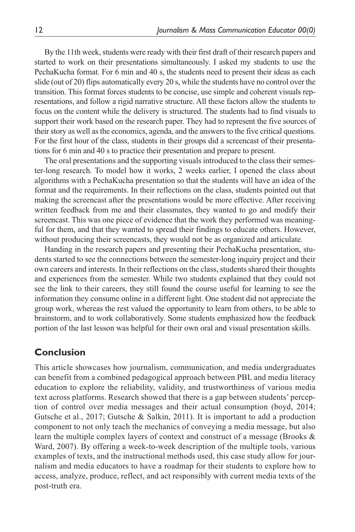By the 11th week, students were ready with their first draft of their research papers and started to work on their presentations simultaneously. I asked my students to use the PechaKucha format. For 6 min and 40 s, the students need to present their ideas as each slide (out of 20) flips automatically every 20 s, while the students have no control over the transition. This format forces students to be concise, use simple and coherent visuals representations, and follow a rigid narrative structure. All these factors allow the students to focus on the content while the delivery is structured. The students had to find visuals to support their work based on the research paper. They had to represent the five sources of their story as well as the economics, agenda, and the answers to the five critical questions. For the first hour of the class, students in their groups did a screencast of their presentations for 6 min and 40 s to practice their presentation and prepare to present.

The oral presentations and the supporting visuals introduced to the class their semester-long research. To model how it works, 2 weeks earlier, I opened the class about algorithms with a PechaKucha presentation so that the students will have an idea of the format and the requirements. In their reflections on the class, students pointed out that making the screencast after the presentations would be more effective. After receiving written feedback from me and their classmates, they wanted to go and modify their screencast. This was one piece of evidence that the work they performed was meaningful for them, and that they wanted to spread their findings to educate others. However, without producing their screencasts, they would not be as organized and articulate.

Handing in the research papers and presenting their PechaKucha presentation, students started to see the connections between the semester-long inquiry project and their own careers and interests. In their reflections on the class, students shared their thoughts and experiences from the semester. While two students explained that they could not see the link to their careers, they still found the course useful for learning to see the information they consume online in a different light. One student did not appreciate the group work, whereas the rest valued the opportunity to learn from others, to be able to brainstorm, and to work collaboratively. Some students emphasized how the feedback portion of the last lesson was helpful for their own oral and visual presentation skills.

# **Conclusion**

This article showcases how journalism, communication, and media undergraduates can benefit from a combined pedagogical approach between PBL and media literacy education to explore the reliability, validity, and trustworthiness of various media text across platforms. Research showed that there is a gap between students' perception of control over media messages and their actual consumption (boyd, 2014; Gutsche et al., 2017; Gutsche & Salkin, 2011). It is important to add a production component to not only teach the mechanics of conveying a media message, but also learn the multiple complex layers of context and construct of a message (Brooks & Ward, 2007). By offering a week-to-week description of the multiple tools, various examples of texts, and the instructional methods used, this case study allow for journalism and media educators to have a roadmap for their students to explore how to access, analyze, produce, reflect, and act responsibly with current media texts of the post-truth era.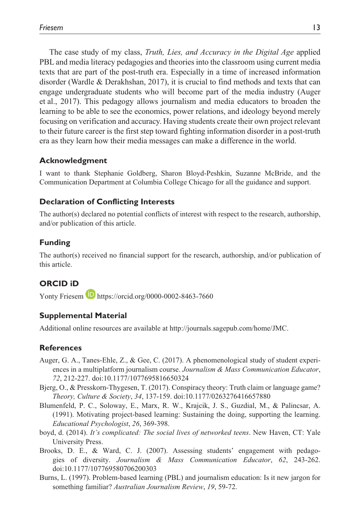The case study of my class, *Truth, Lies, and Accuracy in the Digital Age* applied PBL and media literacy pedagogies and theories into the classroom using current media texts that are part of the post-truth era. Especially in a time of increased information disorder (Wardle & Derakhshan, 2017), it is crucial to find methods and texts that can engage undergraduate students who will become part of the media industry (Auger et al., 2017). This pedagogy allows journalism and media educators to broaden the learning to be able to see the economics, power relations, and ideology beyond merely focusing on verification and accuracy. Having students create their own project relevant to their future career is the first step toward fighting information disorder in a post-truth era as they learn how their media messages can make a difference in the world.

### **Acknowledgment**

I want to thank Stephanie Goldberg, Sharon Bloyd-Peshkin, Suzanne McBride, and the Communication Department at Columbia College Chicago for all the guidance and support.

### **Declaration of Conflicting Interests**

The author(s) declared no potential conflicts of interest with respect to the research, authorship, and/or publication of this article.

# **Funding**

The author(s) received no financial support for the research, authorship, and/or publication of this article.

# **ORCID iD**

Yonty Friesem **D** https://orcid.org/0000-0002-8463-7660

# **Supplemental Material**

Additional online resources are available at http://journals.sagepub.com/home/JMC.

#### **References**

- Auger, G. A., Tanes-Ehle, Z., & Gee, C. (2017). A phenomenological study of student experiences in a multiplatform journalism course. *Journalism & Mass Communication Educator*, *72*, 212-227. doi:10.1177/1077695816650324
- Bjerg, O., & Presskorn-Thygesen, T. (2017). Conspiracy theory: Truth claim or language game? *Theory, Culture & Society*, *34*, 137-159. doi:10.1177/0263276416657880
- Blumenfeld, P. C., Soloway, E., Marx, R. W., Krajcik, J. S., Guzdial, M., & Palincsar, A. (1991). Motivating project-based learning: Sustaining the doing, supporting the learning. *Educational Psychologist*, *26*, 369-398.
- boyd, d. (2014). *It's complicated: The social lives of networked teens*. New Haven, CT: Yale University Press.
- Brooks, D. E., & Ward, C. J. (2007). Assessing students' engagement with pedagogies of diversity. *Journalism & Mass Communication Educator*, *62*, 243-262. doi:10.1177/107769580706200303
- Burns, L. (1997). Problem-based learning (PBL) and journalism education: Is it new jargon for something familiar? *Australian Journalism Review*, *19*, 59-72.